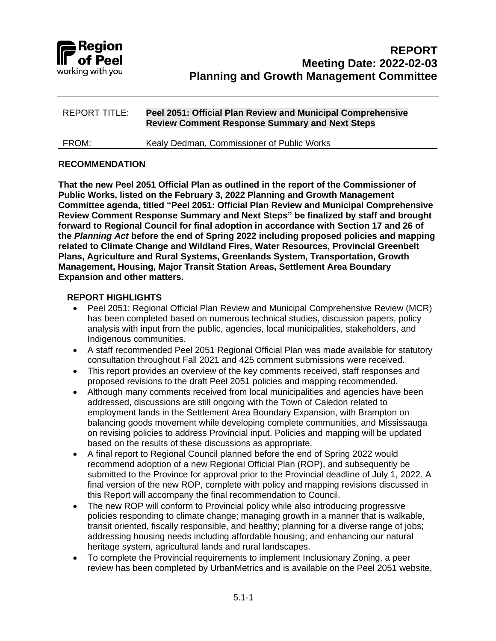

#### **RECOMMENDATION**

**That the new Peel 2051 Official Plan as outlined in the report of the Commissioner of Public Works, listed on the February 3, 2022 Planning and Growth Management Committee agenda, titled "Peel 2051: Official Plan Review and Municipal Comprehensive Review Comment Response Summary and Next Steps" be finalized by staff and brought forward to Regional Council for final adoption in accordance with Section 17 and 26 of the** *Planning Act* **before the end of Spring 2022 including proposed policies and mapping related to Climate Change and Wildland Fires, Water Resources, Provincial Greenbelt Plans, Agriculture and Rural Systems, Greenlands System, Transportation, Growth Management, Housing, Major Transit Station Areas, Settlement Area Boundary Expansion and other matters.**

### **REPORT HIGHLIGHTS**

- Peel 2051: Regional Official Plan Review and Municipal Comprehensive Review (MCR) has been completed based on numerous technical studies, discussion papers, policy analysis with input from the public, agencies, local municipalities, stakeholders, and Indigenous communities.
- A staff recommended Peel 2051 Regional Official Plan was made available for statutory consultation throughout Fall 2021 and 425 comment submissions were received.
- This report provides an overview of the key comments received, staff responses and proposed revisions to the draft Peel 2051 policies and mapping recommended.
- Although many comments received from local municipalities and agencies have been addressed, discussions are still ongoing with the Town of Caledon related to employment lands in the Settlement Area Boundary Expansion, with Brampton on balancing goods movement while developing complete communities, and Mississauga on revising policies to address Provincial input. Policies and mapping will be updated based on the results of these discussions as appropriate.
- A final report to Regional Council planned before the end of Spring 2022 would recommend adoption of a new Regional Official Plan (ROP), and subsequently be submitted to the Province for approval prior to the Provincial deadline of July 1, 2022. A final version of the new ROP, complete with policy and mapping revisions discussed in this Report will accompany the final recommendation to Council.
- The new ROP will conform to Provincial policy while also introducing progressive policies responding to climate change; managing growth in a manner that is walkable, transit oriented, fiscally responsible, and healthy; planning for a diverse range of jobs; addressing housing needs including affordable housing; and enhancing our natural heritage system, agricultural lands and rural landscapes.
- To complete the Provincial requirements to implement Inclusionary Zoning, a peer review has been completed by UrbanMetrics and is available on the Peel 2051 website,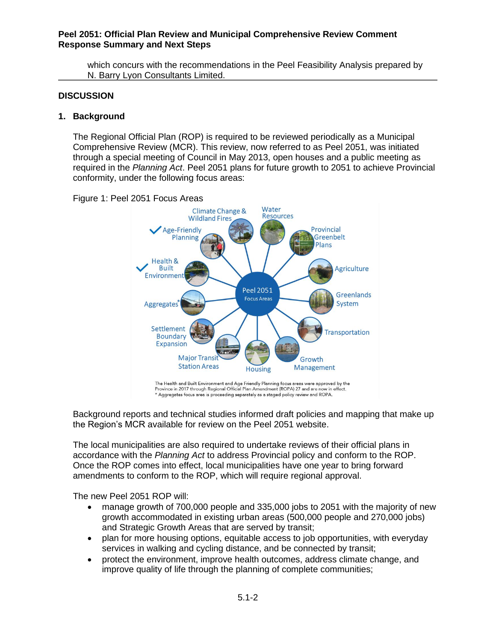which concurs with the recommendations in the Peel Feasibility Analysis prepared by N. Barry Lyon Consultants Limited.

#### **DISCUSSION**

#### **1. Background**

The Regional Official Plan (ROP) is required to be reviewed periodically as a Municipal Comprehensive Review (MCR). This review, now referred to as Peel 2051, was initiated through a special meeting of Council in May 2013, open houses and a public meeting as required in the *Planning Act*. Peel 2051 plans for future growth to 2051 to achieve Provincial conformity, under the following focus areas:



Figure 1: Peel 2051 Focus Areas

The Health and Built Environment and Age Friendly Planning focus areas were approved by the Province in 2017 through Regional Official Plan Amendment (ROPA) 27 and are now in effect. \* Aggregates focus area is proceeding separately as a staged policy review and ROPA.

Background reports and technical studies informed draft policies and mapping that make up the Region's MCR available for review on the Peel 2051 website.

The local municipalities are also required to undertake reviews of their official plans in accordance with the *Planning Act* to address Provincial policy and conform to the ROP. Once the ROP comes into effect, local municipalities have one year to bring forward amendments to conform to the ROP, which will require regional approval.

The new Peel 2051 ROP will:

- manage growth of 700,000 people and 335,000 jobs to 2051 with the majority of new growth accommodated in existing urban areas (500,000 people and 270,000 jobs) and Strategic Growth Areas that are served by transit;
- plan for more housing options, equitable access to job opportunities, with everyday services in walking and cycling distance, and be connected by transit;
- protect the environment, improve health outcomes, address climate change, and improve quality of life through the planning of complete communities;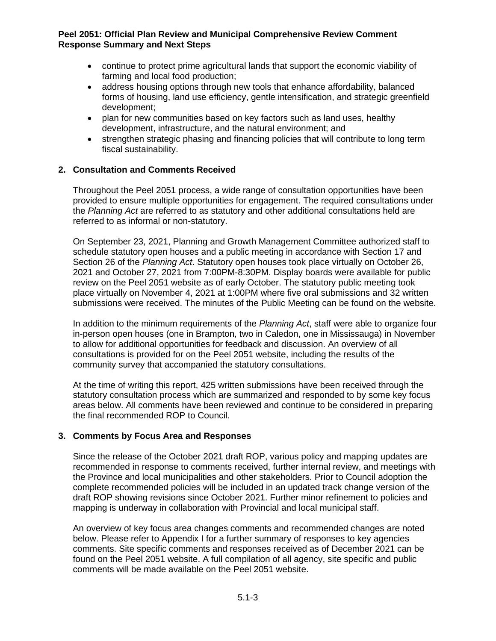- continue to protect prime agricultural lands that support the economic viability of farming and local food production;
- address housing options through new tools that enhance affordability, balanced forms of housing, land use efficiency, gentle intensification, and strategic greenfield development;
- plan for new communities based on key factors such as land uses, healthy development, infrastructure, and the natural environment; and
- strengthen strategic phasing and financing policies that will contribute to long term fiscal sustainability.

#### **2. Consultation and Comments Received**

Throughout the Peel 2051 process, a wide range of consultation opportunities have been provided to ensure multiple opportunities for engagement. The required consultations under the *Planning Act* are referred to as statutory and other additional consultations held are referred to as informal or non-statutory.

On September 23, 2021, Planning and Growth Management Committee authorized staff to schedule statutory open houses and a public meeting in accordance with Section 17 and Section 26 of the *Planning Act*. Statutory open houses took place virtually on October 26, 2021 and October 27, 2021 from 7:00PM-8:30PM. Display boards were available for public review on the Peel 2051 website as of early October. The statutory public meeting took place virtually on November 4, 2021 at 1:00PM where five oral submissions and 32 written submissions were received. The minutes of the Public Meeting can be found on the website.

In addition to the minimum requirements of the *Planning Act*, staff were able to organize four in-person open houses (one in Brampton, two in Caledon, one in Mississauga) in November to allow for additional opportunities for feedback and discussion. An overview of all consultations is provided for on the Peel 2051 website, including the results of the community survey that accompanied the statutory consultations.

At the time of writing this report, 425 written submissions have been received through the statutory consultation process which are summarized and responded to by some key focus areas below. All comments have been reviewed and continue to be considered in preparing the final recommended ROP to Council.

### **3. Comments by Focus Area and Responses**

Since the release of the October 2021 draft ROP, various policy and mapping updates are recommended in response to comments received, further internal review, and meetings with the Province and local municipalities and other stakeholders. Prior to Council adoption the complete recommended policies will be included in an updated track change version of the draft ROP showing revisions since October 2021. Further minor refinement to policies and mapping is underway in collaboration with Provincial and local municipal staff.

An overview of key focus area changes comments and recommended changes are noted below. Please refer to Appendix I for a further summary of responses to key agencies comments. Site specific comments and responses received as of December 2021 can be found on the Peel 2051 website. A full compilation of all agency, site specific and public comments will be made available on the Peel 2051 website.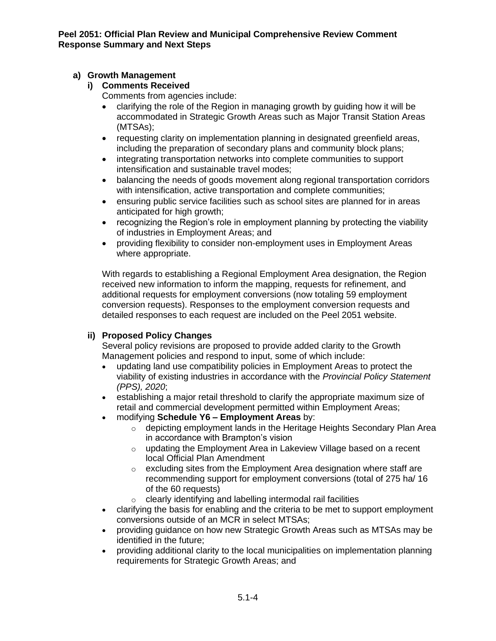# **a) Growth Management**

### **i) Comments Received**

Comments from agencies include:

- clarifying the role of the Region in managing growth by guiding how it will be accommodated in Strategic Growth Areas such as Major Transit Station Areas (MTSAs);
- requesting clarity on implementation planning in designated greenfield areas, including the preparation of secondary plans and community block plans;
- integrating transportation networks into complete communities to support intensification and sustainable travel modes;
- balancing the needs of goods movement along regional transportation corridors with intensification, active transportation and complete communities;
- ensuring public service facilities such as school sites are planned for in areas anticipated for high growth;
- recognizing the Region's role in employment planning by protecting the viability of industries in Employment Areas; and
- providing flexibility to consider non-employment uses in Employment Areas where appropriate.

With regards to establishing a Regional Employment Area designation, the Region received new information to inform the mapping, requests for refinement, and additional requests for employment conversions (now totaling 59 employment conversion requests). Responses to the employment conversion requests and detailed responses to each request are included on the Peel 2051 website.

# **ii) Proposed Policy Changes**

Several policy revisions are proposed to provide added clarity to the Growth Management policies and respond to input, some of which include:

- updating land use compatibility policies in Employment Areas to protect the viability of existing industries in accordance with the *Provincial Policy Statement (PPS), 2020*;
- establishing a major retail threshold to clarify the appropriate maximum size of retail and commercial development permitted within Employment Areas;
- modifying **Schedule Y6 – Employment Areas** by:
	- o depicting employment lands in the Heritage Heights Secondary Plan Area in accordance with Brampton's vision
	- o updating the Employment Area in Lakeview Village based on a recent local Official Plan Amendment
	- o excluding sites from the Employment Area designation where staff are recommending support for employment conversions (total of 275 ha/ 16 of the 60 requests)
	- o clearly identifying and labelling intermodal rail facilities
- clarifying the basis for enabling and the criteria to be met to support employment conversions outside of an MCR in select MTSAs;
- providing guidance on how new Strategic Growth Areas such as MTSAs may be identified in the future;
- providing additional clarity to the local municipalities on implementation planning requirements for Strategic Growth Areas; and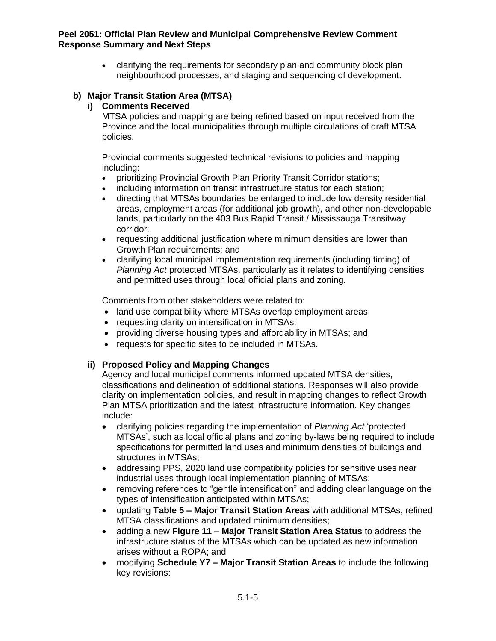• clarifying the requirements for secondary plan and community block plan neighbourhood processes, and staging and sequencing of development.

# **b) Major Transit Station Area (MTSA)**

### **i) Comments Received**

MTSA policies and mapping are being refined based on input received from the Province and the local municipalities through multiple circulations of draft MTSA policies.

Provincial comments suggested technical revisions to policies and mapping including:

- prioritizing Provincial Growth Plan Priority Transit Corridor stations;
- including information on transit infrastructure status for each station;
- directing that MTSAs boundaries be enlarged to include low density residential areas, employment areas (for additional job growth), and other non-developable lands, particularly on the 403 Bus Rapid Transit / Mississauga Transitway corridor;
- requesting additional justification where minimum densities are lower than Growth Plan requirements; and
- clarifying local municipal implementation requirements (including timing) of *Planning Act* protected MTSAs, particularly as it relates to identifying densities and permitted uses through local official plans and zoning.

Comments from other stakeholders were related to:

- land use compatibility where MTSAs overlap employment areas;
- requesting clarity on intensification in MTSAs;
- providing diverse housing types and affordability in MTSAs; and
- requests for specific sites to be included in MTSAs.

### **ii) Proposed Policy and Mapping Changes**

Agency and local municipal comments informed updated MTSA densities, classifications and delineation of additional stations. Responses will also provide clarity on implementation policies, and result in mapping changes to reflect Growth Plan MTSA prioritization and the latest infrastructure information. Key changes include:

- clarifying policies regarding the implementation of *Planning Act* 'protected MTSAs', such as local official plans and zoning by-laws being required to include specifications for permitted land uses and minimum densities of buildings and structures in MTSAs;
- addressing PPS, 2020 land use compatibility policies for sensitive uses near industrial uses through local implementation planning of MTSAs;
- removing references to "gentle intensification" and adding clear language on the types of intensification anticipated within MTSAs;
- updating **Table 5 – Major Transit Station Areas** with additional MTSAs, refined MTSA classifications and updated minimum densities;
- adding a new **Figure 11 – Major Transit Station Area Status** to address the infrastructure status of the MTSAs which can be updated as new information arises without a ROPA; and
- modifying **Schedule Y7 – Major Transit Station Areas** to include the following key revisions: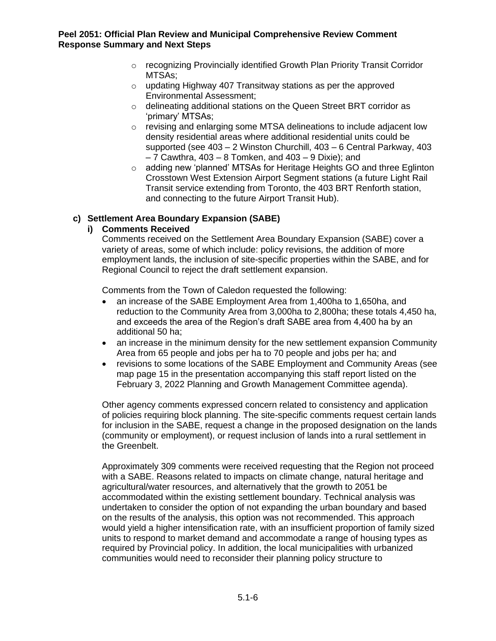- o recognizing Provincially identified Growth Plan Priority Transit Corridor MTSAs;
- o updating Highway 407 Transitway stations as per the approved Environmental Assessment;
- o delineating additional stations on the Queen Street BRT corridor as 'primary' MTSAs;
- $\circ$  revising and enlarging some MTSA delineations to include adjacent low density residential areas where additional residential units could be supported (see 403 – 2 Winston Churchill, 403 – 6 Central Parkway, 403  $-7$  Cawthra, 403  $-8$  Tomken, and 403  $-9$  Dixie); and
- $\circ$  adding new 'planned' MTSAs for Heritage Heights GO and three Eglinton Crosstown West Extension Airport Segment stations (a future Light Rail Transit service extending from Toronto, the 403 BRT Renforth station, and connecting to the future Airport Transit Hub).

# **c) Settlement Area Boundary Expansion (SABE)**

# **i) Comments Received**

Comments received on the Settlement Area Boundary Expansion (SABE) cover a variety of areas, some of which include: policy revisions, the addition of more employment lands, the inclusion of site-specific properties within the SABE, and for Regional Council to reject the draft settlement expansion.

Comments from the Town of Caledon requested the following:

- an increase of the SABE Employment Area from 1,400ha to 1,650ha, and reduction to the Community Area from 3,000ha to 2,800ha; these totals 4,450 ha, and exceeds the area of the Region's draft SABE area from 4,400 ha by an additional 50 ha;
- an increase in the minimum density for the new settlement expansion Community Area from 65 people and jobs per ha to 70 people and jobs per ha; and
- revisions to some locations of the SABE Employment and Community Areas (see map page 15 in the presentation accompanying this staff report listed on the February 3, 2022 Planning and Growth Management Committee agenda).

Other agency comments expressed concern related to consistency and application of policies requiring block planning. The site-specific comments request certain lands for inclusion in the SABE, request a change in the proposed designation on the lands (community or employment), or request inclusion of lands into a rural settlement in the Greenbelt.

Approximately 309 comments were received requesting that the Region not proceed with a SABE. Reasons related to impacts on climate change, natural heritage and agricultural/water resources, and alternatively that the growth to 2051 be accommodated within the existing settlement boundary. Technical analysis was undertaken to consider the option of not expanding the urban boundary and based on the results of the analysis, this option was not recommended. This approach would yield a higher intensification rate, with an insufficient proportion of family sized units to respond to market demand and accommodate a range of housing types as required by Provincial policy. In addition, the local municipalities with urbanized communities would need to reconsider their planning policy structure to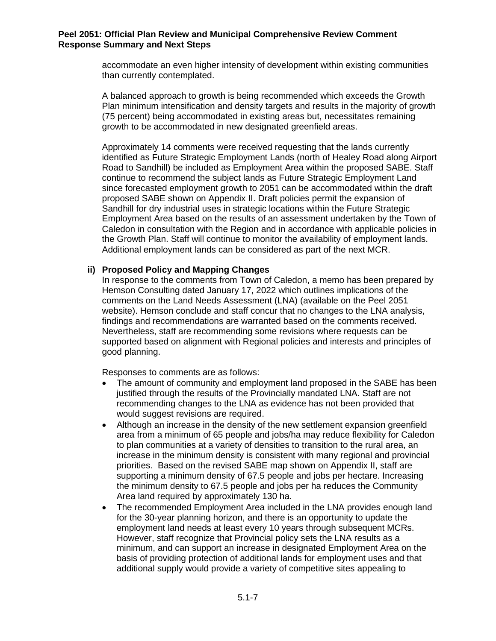accommodate an even higher intensity of development within existing communities than currently contemplated.

A balanced approach to growth is being recommended which exceeds the Growth Plan minimum intensification and density targets and results in the majority of growth (75 percent) being accommodated in existing areas but, necessitates remaining growth to be accommodated in new designated greenfield areas.

Approximately 14 comments were received requesting that the lands currently identified as Future Strategic Employment Lands (north of Healey Road along Airport Road to Sandhill) be included as Employment Area within the proposed SABE. Staff continue to recommend the subject lands as Future Strategic Employment Land since forecasted employment growth to 2051 can be accommodated within the draft proposed SABE shown on Appendix II. Draft policies permit the expansion of Sandhill for dry industrial uses in strategic locations within the Future Strategic Employment Area based on the results of an assessment undertaken by the Town of Caledon in consultation with the Region and in accordance with applicable policies in the Growth Plan. Staff will continue to monitor the availability of employment lands. Additional employment lands can be considered as part of the next MCR.

### **ii) Proposed Policy and Mapping Changes**

In response to the comments from Town of Caledon, a memo has been prepared by Hemson Consulting dated January 17, 2022 which outlines implications of the comments on the Land Needs Assessment (LNA) (available on the Peel 2051 website). Hemson conclude and staff concur that no changes to the LNA analysis, findings and recommendations are warranted based on the comments received. Nevertheless, staff are recommending some revisions where requests can be supported based on alignment with Regional policies and interests and principles of good planning.

Responses to comments are as follows:

- The amount of community and employment land proposed in the SABE has been justified through the results of the Provincially mandated LNA. Staff are not recommending changes to the LNA as evidence has not been provided that would suggest revisions are required.
- Although an increase in the density of the new settlement expansion greenfield area from a minimum of 65 people and jobs/ha may reduce flexibility for Caledon to plan communities at a variety of densities to transition to the rural area, an increase in the minimum density is consistent with many regional and provincial priorities. Based on the revised SABE map shown on Appendix II, staff are supporting a minimum density of 67.5 people and jobs per hectare. Increasing the minimum density to 67.5 people and jobs per ha reduces the Community Area land required by approximately 130 ha.
- The recommended Employment Area included in the LNA provides enough land for the 30-year planning horizon, and there is an opportunity to update the employment land needs at least every 10 years through subsequent MCRs. However, staff recognize that Provincial policy sets the LNA results as a minimum, and can support an increase in designated Employment Area on the basis of providing protection of additional lands for employment uses and that additional supply would provide a variety of competitive sites appealing to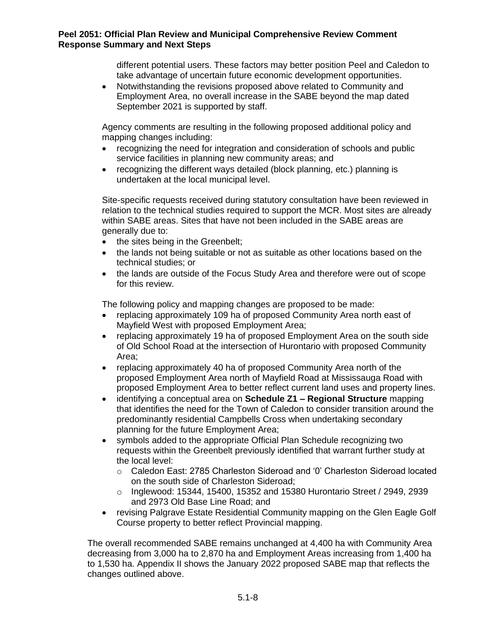different potential users. These factors may better position Peel and Caledon to take advantage of uncertain future economic development opportunities.

• Notwithstanding the revisions proposed above related to Community and Employment Area, no overall increase in the SABE beyond the map dated September 2021 is supported by staff.

Agency comments are resulting in the following proposed additional policy and mapping changes including:

- recognizing the need for integration and consideration of schools and public service facilities in planning new community areas; and
- recognizing the different ways detailed (block planning, etc.) planning is undertaken at the local municipal level.

Site-specific requests received during statutory consultation have been reviewed in relation to the technical studies required to support the MCR. Most sites are already within SABE areas. Sites that have not been included in the SABE areas are generally due to:

- the sites being in the Greenbelt;
- the lands not being suitable or not as suitable as other locations based on the technical studies; or
- the lands are outside of the Focus Study Area and therefore were out of scope for this review.

The following policy and mapping changes are proposed to be made:

- replacing approximately 109 ha of proposed Community Area north east of Mayfield West with proposed Employment Area;
- replacing approximately 19 ha of proposed Employment Area on the south side of Old School Road at the intersection of Hurontario with proposed Community Area;
- replacing approximately 40 ha of proposed Community Area north of the proposed Employment Area north of Mayfield Road at Mississauga Road with proposed Employment Area to better reflect current land uses and property lines.
- identifying a conceptual area on **Schedule Z1 – Regional Structure** mapping that identifies the need for the Town of Caledon to consider transition around the predominantly residential Campbells Cross when undertaking secondary planning for the future Employment Area;
- symbols added to the appropriate Official Plan Schedule recognizing two requests within the Greenbelt previously identified that warrant further study at the local level:
	- o Caledon East: 2785 Charleston Sideroad and '0' Charleston Sideroad located on the south side of Charleston Sideroad;
	- $\circ$  Inglewood: 15344, 15400, 15352 and 15380 Hurontario Street / 2949, 2939 and 2973 Old Base Line Road; and
- revising Palgrave Estate Residential Community mapping on the Glen Eagle Golf Course property to better reflect Provincial mapping.

The overall recommended SABE remains unchanged at 4,400 ha with Community Area decreasing from 3,000 ha to 2,870 ha and Employment Areas increasing from 1,400 ha to 1,530 ha. Appendix II shows the January 2022 proposed SABE map that reflects the changes outlined above.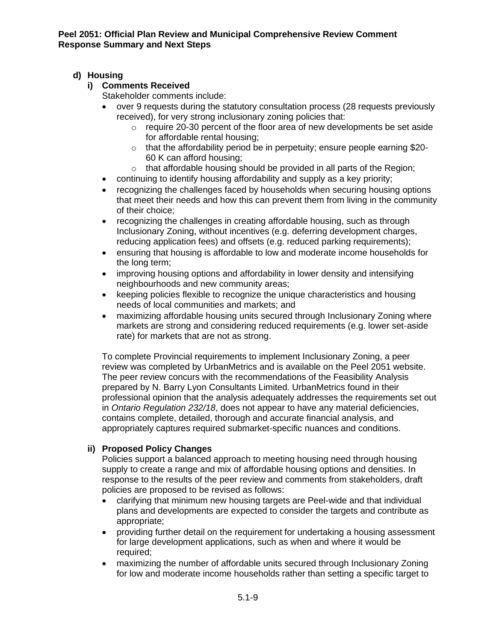# **d) Housing**

# **i) Comments Received**

Stakeholder comments include:

- over 9 requests during the statutory consultation process (28 requests previously received), for very strong inclusionary zoning policies that:
	- o require 20-30 percent of the floor area of new developments be set aside for affordable rental housing;
	- o that the affordability period be in perpetuity; ensure people earning \$20- 60 K can afford housing;
	- o that affordable housing should be provided in all parts of the Region;
- continuing to identify housing affordability and supply as a key priority;
- recognizing the challenges faced by households when securing housing options that meet their needs and how this can prevent them from living in the community of their choice;
- recognizing the challenges in creating affordable housing, such as through Inclusionary Zoning, without incentives (e.g. deferring development charges, reducing application fees) and offsets (e.g. reduced parking requirements);
- ensuring that housing is affordable to low and moderate income households for the long term;
- improving housing options and affordability in lower density and intensifying neighbourhoods and new community areas;
- keeping policies flexible to recognize the unique characteristics and housing needs of local communities and markets; and
- maximizing affordable housing units secured through Inclusionary Zoning where markets are strong and considering reduced requirements (e.g. lower set-aside rate) for markets that are not as strong.

To complete Provincial requirements to implement Inclusionary Zoning, a peer review was completed by UrbanMetrics and is available on the Peel 2051 website. The peer review concurs with the recommendations of the Feasibility Analysis prepared by N. Barry Lyon Consultants Limited. UrbanMetrics found in their professional opinion that the analysis adequately addresses the requirements set out in *Ontario Regulation 232/18*, does not appear to have any material deficiencies, contains complete, detailed, thorough and accurate financial analysis, and appropriately captures required submarket-specific nuances and conditions.

# **ii) Proposed Policy Changes**

Policies support a balanced approach to meeting housing need through housing supply to create a range and mix of affordable housing options and densities. In response to the results of the peer review and comments from stakeholders, draft policies are proposed to be revised as follows:

- clarifying that minimum new housing targets are Peel-wide and that individual plans and developments are expected to consider the targets and contribute as appropriate;
- providing further detail on the requirement for undertaking a housing assessment for large development applications, such as when and where it would be required;
- maximizing the number of affordable units secured through Inclusionary Zoning for low and moderate income households rather than setting a specific target to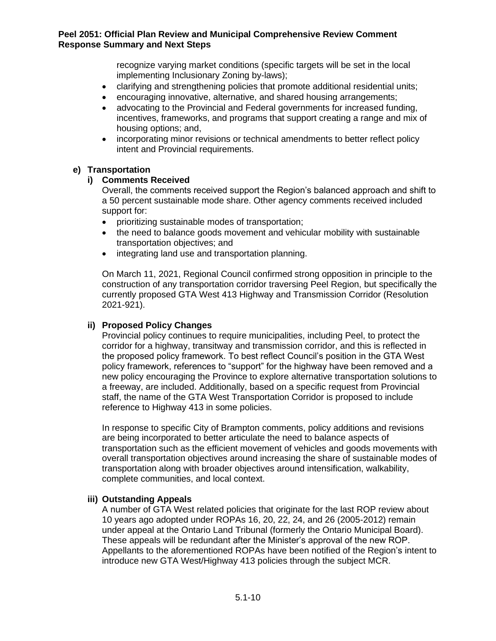recognize varying market conditions (specific targets will be set in the local implementing Inclusionary Zoning by-laws);

- clarifying and strengthening policies that promote additional residential units;
- encouraging innovative, alternative, and shared housing arrangements;
- advocating to the Provincial and Federal governments for increased funding, incentives, frameworks, and programs that support creating a range and mix of housing options; and,
- incorporating minor revisions or technical amendments to better reflect policy intent and Provincial requirements.

### **e) Transportation**

### **i) Comments Received**

Overall, the comments received support the Region's balanced approach and shift to a 50 percent sustainable mode share. Other agency comments received included support for:

- prioritizing sustainable modes of transportation;
- the need to balance goods movement and vehicular mobility with sustainable transportation objectives; and
- integrating land use and transportation planning.

On March 11, 2021, Regional Council confirmed strong opposition in principle to the construction of any transportation corridor traversing Peel Region, but specifically the currently proposed GTA West 413 Highway and Transmission Corridor (Resolution 2021-921).

### **ii) Proposed Policy Changes**

Provincial policy continues to require municipalities, including Peel, to protect the corridor for a highway, transitway and transmission corridor, and this is reflected in the proposed policy framework. To best reflect Council's position in the GTA West policy framework, references to "support" for the highway have been removed and a new policy encouraging the Province to explore alternative transportation solutions to a freeway, are included. Additionally, based on a specific request from Provincial staff, the name of the GTA West Transportation Corridor is proposed to include reference to Highway 413 in some policies.

In response to specific City of Brampton comments, policy additions and revisions are being incorporated to better articulate the need to balance aspects of transportation such as the efficient movement of vehicles and goods movements with overall transportation objectives around increasing the share of sustainable modes of transportation along with broader objectives around intensification, walkability, complete communities, and local context.

### **iii) Outstanding Appeals**

A number of GTA West related policies that originate for the last ROP review about 10 years ago adopted under ROPAs 16, 20, 22, 24, and 26 (2005-2012) remain under appeal at the Ontario Land Tribunal (formerly the Ontario Municipal Board). These appeals will be redundant after the Minister's approval of the new ROP. Appellants to the aforementioned ROPAs have been notified of the Region's intent to introduce new GTA West/Highway 413 policies through the subject MCR.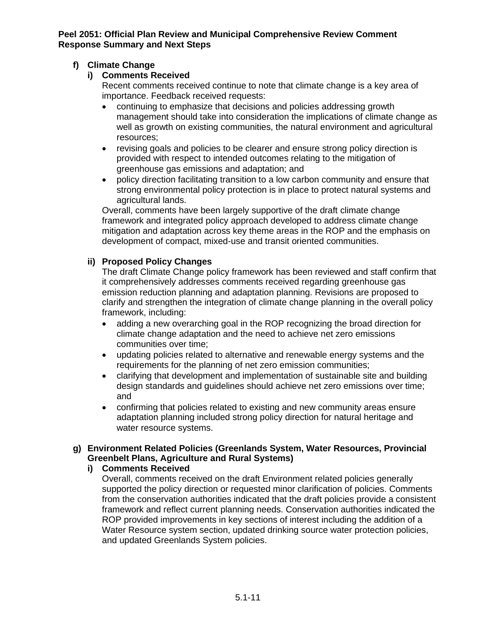# **f) Climate Change**

# **i) Comments Received**

Recent comments received continue to note that climate change is a key area of importance. Feedback received requests:

- continuing to emphasize that decisions and policies addressing growth management should take into consideration the implications of climate change as well as growth on existing communities, the natural environment and agricultural resources;
- revising goals and policies to be clearer and ensure strong policy direction is provided with respect to intended outcomes relating to the mitigation of greenhouse gas emissions and adaptation; and
- policy direction facilitating transition to a low carbon community and ensure that strong environmental policy protection is in place to protect natural systems and agricultural lands.

Overall, comments have been largely supportive of the draft climate change framework and integrated policy approach developed to address climate change mitigation and adaptation across key theme areas in the ROP and the emphasis on development of compact, mixed-use and transit oriented communities.

# **ii) Proposed Policy Changes**

The draft Climate Change policy framework has been reviewed and staff confirm that it comprehensively addresses comments received regarding greenhouse gas emission reduction planning and adaptation planning. Revisions are proposed to clarify and strengthen the integration of climate change planning in the overall policy framework, including:

- adding a new overarching goal in the ROP recognizing the broad direction for climate change adaptation and the need to achieve net zero emissions communities over time;
- updating policies related to alternative and renewable energy systems and the requirements for the planning of net zero emission communities;
- clarifying that development and implementation of sustainable site and building design standards and guidelines should achieve net zero emissions over time; and
- confirming that policies related to existing and new community areas ensure adaptation planning included strong policy direction for natural heritage and water resource systems.

# **g) Environment Related Policies (Greenlands System, Water Resources, Provincial Greenbelt Plans, Agriculture and Rural Systems)**

# **i) Comments Received**

Overall, comments received on the draft Environment related policies generally supported the policy direction or requested minor clarification of policies. Comments from the conservation authorities indicated that the draft policies provide a consistent framework and reflect current planning needs. Conservation authorities indicated the ROP provided improvements in key sections of interest including the addition of a Water Resource system section, updated drinking source water protection policies, and updated Greenlands System policies.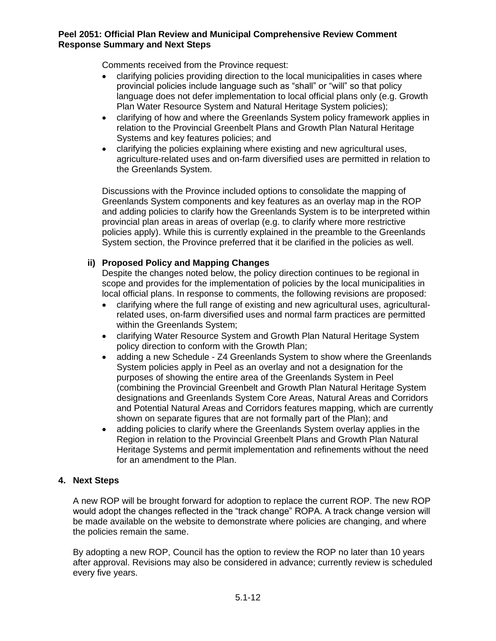Comments received from the Province request:

- clarifying policies providing direction to the local municipalities in cases where provincial policies include language such as "shall" or "will" so that policy language does not defer implementation to local official plans only (e.g. Growth Plan Water Resource System and Natural Heritage System policies);
- clarifying of how and where the Greenlands System policy framework applies in relation to the Provincial Greenbelt Plans and Growth Plan Natural Heritage Systems and key features policies; and
- clarifying the policies explaining where existing and new agricultural uses, agriculture-related uses and on-farm diversified uses are permitted in relation to the Greenlands System.

Discussions with the Province included options to consolidate the mapping of Greenlands System components and key features as an overlay map in the ROP and adding policies to clarify how the Greenlands System is to be interpreted within provincial plan areas in areas of overlap (e.g. to clarify where more restrictive policies apply). While this is currently explained in the preamble to the Greenlands System section, the Province preferred that it be clarified in the policies as well.

# **ii) Proposed Policy and Mapping Changes**

Despite the changes noted below, the policy direction continues to be regional in scope and provides for the implementation of policies by the local municipalities in local official plans. In response to comments, the following revisions are proposed:

- clarifying where the full range of existing and new agricultural uses, agriculturalrelated uses, on-farm diversified uses and normal farm practices are permitted within the Greenlands System;
- clarifying Water Resource System and Growth Plan Natural Heritage System policy direction to conform with the Growth Plan;
- adding a new Schedule Z4 Greenlands System to show where the Greenlands System policies apply in Peel as an overlay and not a designation for the purposes of showing the entire area of the Greenlands System in Peel (combining the Provincial Greenbelt and Growth Plan Natural Heritage System designations and Greenlands System Core Areas, Natural Areas and Corridors and Potential Natural Areas and Corridors features mapping, which are currently shown on separate figures that are not formally part of the Plan); and
- adding policies to clarify where the Greenlands System overlay applies in the Region in relation to the Provincial Greenbelt Plans and Growth Plan Natural Heritage Systems and permit implementation and refinements without the need for an amendment to the Plan.

# **4. Next Steps**

A new ROP will be brought forward for adoption to replace the current ROP. The new ROP would adopt the changes reflected in the "track change" ROPA. A track change version will be made available on the website to demonstrate where policies are changing, and where the policies remain the same.

By adopting a new ROP, Council has the option to review the ROP no later than 10 years after approval. Revisions may also be considered in advance; currently review is scheduled every five years.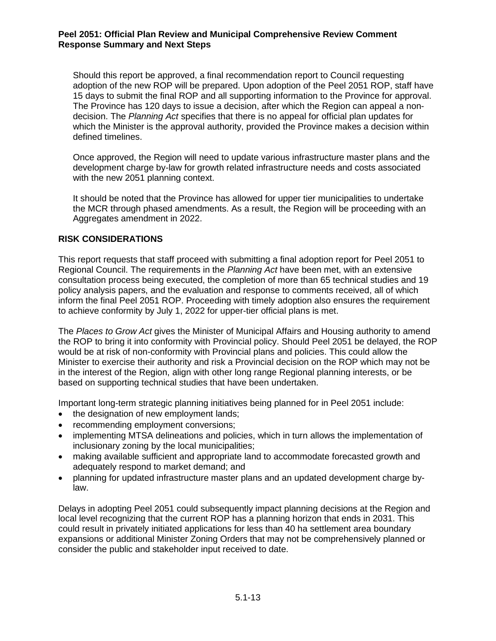Should this report be approved, a final recommendation report to Council requesting adoption of the new ROP will be prepared. Upon adoption of the Peel 2051 ROP, staff have 15 days to submit the final ROP and all supporting information to the Province for approval. The Province has 120 days to issue a decision, after which the Region can appeal a nondecision. The *Planning Act* specifies that there is no appeal for official plan updates for which the Minister is the approval authority, provided the Province makes a decision within defined timelines.

Once approved, the Region will need to update various infrastructure master plans and the development charge by-law for growth related infrastructure needs and costs associated with the new 2051 planning context.

It should be noted that the Province has allowed for upper tier municipalities to undertake the MCR through phased amendments. As a result, the Region will be proceeding with an Aggregates amendment in 2022.

### **RISK CONSIDERATIONS**

This report requests that staff proceed with submitting a final adoption report for Peel 2051 to Regional Council. The requirements in the *Planning Act* have been met, with an extensive consultation process being executed, the completion of more than 65 technical studies and 19 policy analysis papers, and the evaluation and response to comments received, all of which inform the final Peel 2051 ROP. Proceeding with timely adoption also ensures the requirement to achieve conformity by July 1, 2022 for upper-tier official plans is met.

The *Places to Grow Act* gives the Minister of Municipal Affairs and Housing authority to amend the ROP to bring it into conformity with Provincial policy. Should Peel 2051 be delayed, the ROP would be at risk of non-conformity with Provincial plans and policies. This could allow the Minister to exercise their authority and risk a Provincial decision on the ROP which may not be in the interest of the Region, align with other long range Regional planning interests, or be based on supporting technical studies that have been undertaken.

Important long-term strategic planning initiatives being planned for in Peel 2051 include:

- the designation of new employment lands;
- recommending employment conversions;
- implementing MTSA delineations and policies, which in turn allows the implementation of inclusionary zoning by the local municipalities;
- making available sufficient and appropriate land to accommodate forecasted growth and adequately respond to market demand; and
- planning for updated infrastructure master plans and an updated development charge bylaw.

Delays in adopting Peel 2051 could subsequently impact planning decisions at the Region and local level recognizing that the current ROP has a planning horizon that ends in 2031. This could result in privately initiated applications for less than 40 ha settlement area boundary expansions or additional Minister Zoning Orders that may not be comprehensively planned or consider the public and stakeholder input received to date.